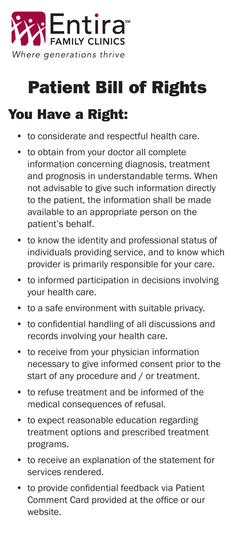

## Patient Bill of Rights

## You Have a Right:

- to considerate and respectful health care.
- to obtain from your doctor all complete information concerning diagnosis, treatment and prognosis in understandable terms. When not advisable to give such information directly to the patient, the information shall be made available to an appropriate person on the patient's behalf.
- to know the identity and professional status of individuals providing service, and to know which provider is primarily responsible for your care.
- to informed participation in decisions involving your health care.
- to a safe environment with suitable privacy.
- to confidential handling of all discussions and records involving your health care.
- to receive from your physician information necessary to give informed consent prior to the start of any procedure and / or treatment.
- to refuse treatment and be informed of the medical consequences of refusal.
- to expect reasonable education regarding treatment options and prescribed treatment programs.
- to receive an explanation of the statement for services rendered.
- to provide confidential feedback via Patient Comment Card provided at the office or our website.